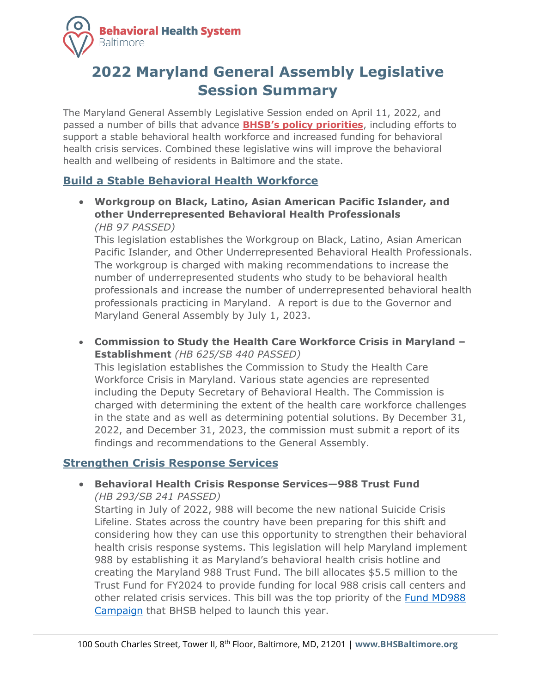

# **2022 Maryland General Assembly Legislative Session Summary**

The Maryland General Assembly Legislative Session ended on April 11, 2022, and passed a number of bills that advance **[BHSB's policy priorit](https://www.bhsbaltimore.org/wp-content/uploads/2021/11/Policy-Priorities-2022-2023-1.pdf)ies**, including efforts to support a stable behavioral health workforce and increased funding for behavioral health crisis services. Combined these legislative wins will improve the behavioral health and wellbeing of residents in Baltimore and the state.

### **Build a Stable Behavioral Health Workforce**

• **Workgroup on Black, Latino, Asian American Pacific Islander, and other Underrepresented Behavioral Health Professionals** *(HB 97 PASSED)*

This legislation establishes the Workgroup on Black, Latino, Asian American Pacific Islander, and Other Underrepresented Behavioral Health Professionals. The workgroup is charged with making recommendations to increase the number of underrepresented students who study to be behavioral health professionals and increase the number of underrepresented behavioral health professionals practicing in Maryland. A report is due to the Governor and Maryland General Assembly by July 1, 2023.

• **Commission to Study the Health Care Workforce Crisis in Maryland – Establishment** *(HB 625/SB 440 PASSED)*

This legislation establishes the Commission to Study the Health Care Workforce Crisis in Maryland. Various state agencies are represented including the Deputy Secretary of Behavioral Health. The Commission is charged with determining the extent of the health care workforce challenges in the state and as well as determining potential solutions. By December 31, 2022, and December 31, 2023, the commission must submit a report of its findings and recommendations to the General Assembly.

#### **Strengthen Crisis Response Services**

• **Behavioral Health Crisis Response Services—988 Trust Fund** *(HB 293/SB 241 PASSED)*

Starting in July of 2022, 988 will become the new national Suicide Crisis Lifeline. States across the country have been preparing for this shift and considering how they can use this opportunity to strengthen their behavioral health crisis response systems. This legislation will help Maryland implement 988 by establishing it as Maryland's behavioral health crisis hotline and creating the Maryland 988 Trust Fund. The bill allocates \$5.5 million to the Trust Fund for FY2024 to provide funding for local 988 crisis call centers and other related crisis services. This bill was the top priority of the [Fund MD988](http://www.fundmd988.org/)  [Campaign](http://www.fundmd988.org/) that BHSB helped to launch this year.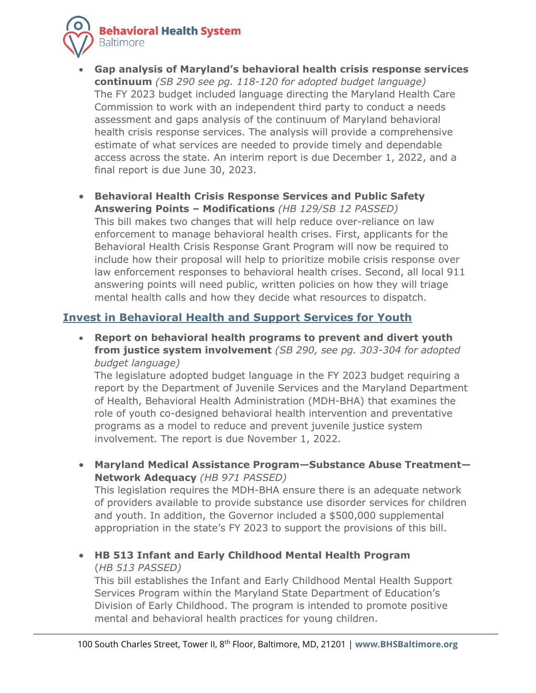**Behavioral Health System Baltimore** 



- **Gap analysis of Maryland's behavioral health crisis response services continuum** *(SB 290 see pg. 118-120 for adopted budget language)* The FY 2023 budget included language directing the Maryland Health Care Commission to work with an independent third party to conduct a needs assessment and gaps analysis of the continuum of Maryland behavioral health crisis response services. The analysis will provide a comprehensive estimate of what services are needed to provide timely and dependable access across the state. An interim report is due December 1, 2022, and a final report is due June 30, 2023.
- **Behavioral Health Crisis Response Services and Public Safety Answering Points – Modifications** *(HB 129/SB 12 PASSED)* This bill makes two changes that will help reduce over-reliance on law enforcement to manage behavioral health crises. First, applicants for the Behavioral Health Crisis Response Grant Program will now be required to include how their proposal will help to prioritize mobile crisis response over law enforcement responses to behavioral health crises. Second, all local 911 answering points will need public, written policies on how they will triage mental health calls and how they decide what resources to dispatch.

# **Invest in Behavioral Health and Support Services for Youth**

• **Report on behavioral health programs to prevent and divert youth from justice system involvement** *(SB 290, see pg. 303-304 for adopted budget language)*

The legislature adopted budget language in the FY 2023 budget requiring a report by the Department of Juvenile Services and the Maryland Department of Health, Behavioral Health Administration (MDH-BHA) that examines the role of youth co-designed behavioral health intervention and preventative programs as a model to reduce and prevent juvenile justice system involvement. The report is due November 1, 2022.

• **Maryland Medical Assistance Program—Substance Abuse Treatment— Network Adequacy** *(HB 971 PASSED)*

This legislation requires the MDH-BHA ensure there is an adequate network of providers available to provide substance use disorder services for children and youth. In addition, the Governor included a \$500,000 supplemental appropriation in the state's FY 2023 to support the provisions of this bill.

• **HB 513 Infant and Early Childhood Mental Health Program**  (*HB 513 PASSED)*

This bill establishes the Infant and Early Childhood Mental Health Support Services Program within the Maryland State Department of Education's Division of Early Childhood. The program is intended to promote positive mental and behavioral health practices for young children.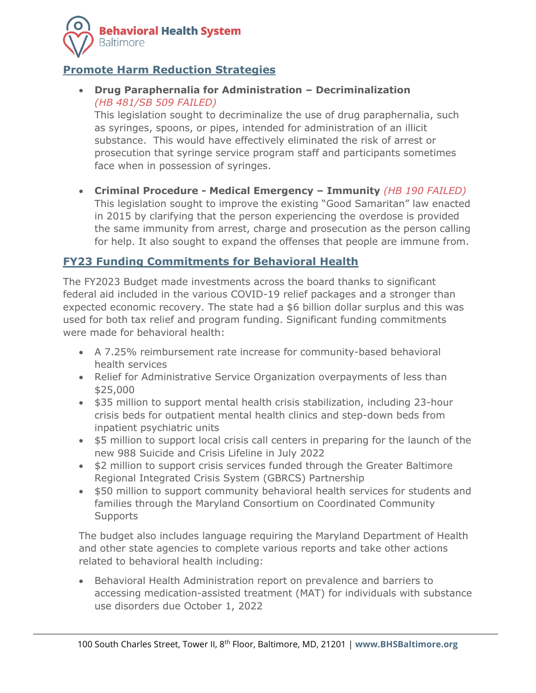

### **Promote Harm Reduction Strategies**

• **Drug Paraphernalia for Administration – Decriminalization** *(HB 481/SB 509 FAILED)*

This legislation sought to decriminalize the use of drug paraphernalia, such as syringes, spoons, or pipes, intended for administration of an illicit substance. This would have effectively eliminated the risk of arrest or prosecution that syringe service program staff and participants sometimes face when in possession of syringes.

• **Criminal Procedure - Medical Emergency – Immunity** *(HB 190 FAILED)* This legislation sought to improve the existing "Good Samaritan" law enacted in 2015 by clarifying that the person experiencing the overdose is provided the same immunity from arrest, charge and prosecution as the person calling for help. It also sought to expand the offenses that people are immune from.

## **FY23 Funding Commitments for Behavioral Health**

The FY2023 Budget made investments across the board thanks to significant federal aid included in the various COVID-19 relief packages and a stronger than expected economic recovery. The state had a \$6 billion dollar surplus and this was used for both tax relief and program funding. Significant funding commitments were made for behavioral health:

- A 7.25% reimbursement rate increase for community-based behavioral health services
- Relief for Administrative Service Organization overpayments of less than \$25,000
- \$35 million to support mental health crisis stabilization, including 23-hour crisis beds for outpatient mental health clinics and step-down beds from inpatient psychiatric units
- \$5 million to support local crisis call centers in preparing for the launch of the new 988 Suicide and Crisis Lifeline in July 2022
- \$2 million to support crisis services funded through the Greater Baltimore Regional Integrated Crisis System (GBRCS) Partnership
- \$50 million to support community behavioral health services for students and families through the Maryland Consortium on Coordinated Community **Supports**

The budget also includes language requiring the Maryland Department of Health and other state agencies to complete various reports and take other actions related to behavioral health including:

• Behavioral Health Administration report on prevalence and barriers to accessing medication-assisted treatment (MAT) for individuals with substance use disorders due October 1, 2022